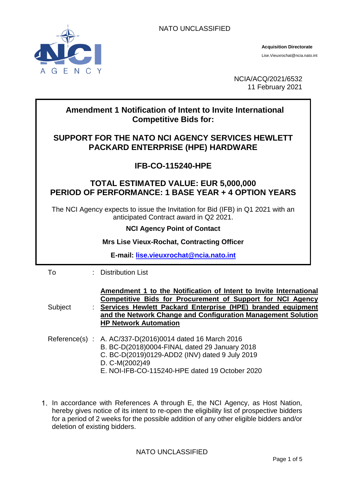NATO UNCLASSIFIED



NCIA/ACQ/2021/6532 11 February 2021

## To : Distribution List **Subject Amendment 1 to the Notification of Intent to Invite International Competitive Bids for Procurement of Support for NCI Agency Services Hewlett Packard Enterprise (HPE) branded equipment and the Network Change and Configuration Management Solution HP Network Automation** Reference(s) : A. AC/337-D(2016)0014 dated 16 March 2016 B. BC-D(2018)0004-FINAL dated 29 January 2018 C. BC-D(2019)0129-ADD2 (INV) dated 9 July 2019 D. C-M(2002)49 E. NOI-IFB-CO-115240-HPE dated 19 October 2020 **Amendment 1 Notification of Intent to Invite International Competitive Bids for: SUPPORT FOR THE NATO NCI AGENCY SERVICES HEWLETT PACKARD ENTERPRISE (HPE) HARDWARE IFB-CO-115240-HPE TOTAL ESTIMATED VALUE: EUR 5,000,000 PERIOD OF PERFORMANCE: 1 BASE YEAR + 4 OPTION YEARS** The NCI Agency expects to issue the Invitation for Bid (IFB) in Q1 2021 with an anticipated Contract award in Q2 2021. **NCI Agency Point of Contact Mrs Lise Vieux-Rochat, Contracting Officer E-mail: lise.vieuxrochat@ncia.nato.int**

1. In accordance with References A through E, the NCI Agency, as Host Nation, hereby gives notice of its intent to re-open the eligibility list of prospective bidders for a period of 2 weeks for the possible addition of any other eligible bidders and/or deletion of existing bidders.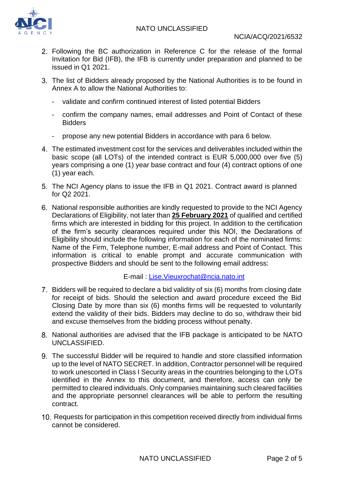

- Following the BC authorization in Reference C for the release of the formal Invitation for Bid (IFB), the IFB is currently under preparation and planned to be issued in Q1 2021.
- The list of Bidders already proposed by the National Authorities is to be found in Annex A to allow the National Authorities to:
	- validate and confirm continued interest of listed potential Bidders
	- confirm the company names, email addresses and Point of Contact of these Bidders
	- propose any new potential Bidders in accordance with para 6 below.
- The estimated investment cost for the services and deliverables included within the basic scope (all LOTs) of the intended contract is EUR 5,000,000 over five (5) years comprising a one (1) year base contract and four (4) contract options of one (1) year each.
- The NCI Agency plans to issue the IFB in Q1 2021. Contract award is planned for Q2 2021.
- National responsible authorities are kindly requested to provide to the NCI Agency Declarations of Eligibility, not later than **25 February 2021** of qualified and certified firms which are interested in bidding for this project. In addition to the certification of the firm's security clearances required under this NOI, the Declarations of Eligibility should include the following information for each of the nominated firms: Name of the Firm, Telephone number, E-mail address and Point of Contact. This information is critical to enable prompt and accurate communication with prospective Bidders and should be sent to the following email address:

E-mail : [Lise.Vieuxrochat@ncia.nato.int](mailto:Lise.Vieuxrochat@ncia.nato.int)

- 7. Bidders will be required to declare a bid validity of six (6) months from closing date for receipt of bids. Should the selection and award procedure exceed the Bid Closing Date by more than six (6) months firms will be requested to voluntarily extend the validity of their bids. Bidders may decline to do so, withdraw their bid and excuse themselves from the bidding process without penalty.
- National authorities are advised that the IFB package is anticipated to be NATO UNCLASSIFIED.
- The successful Bidder will be required to handle and store classified information up to the level of NATO SECRET. In addition, Contractor personnel will be required to work unescorted in Class I Security areas in the countries belonging to the LOTs identified in the Annex to this document, and therefore, access can only be permitted to cleared individuals. Only companies maintaining such cleared facilities and the appropriate personnel clearances will be able to perform the resulting contract.
- 10. Requests for participation in this competition received directly from individual firms cannot be considered.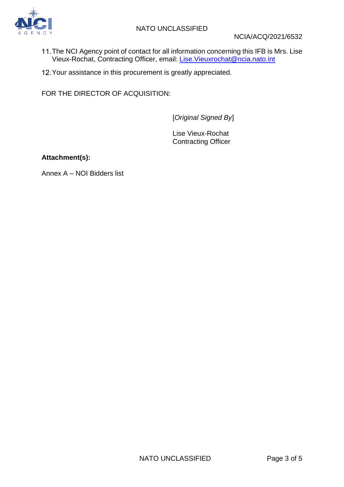

- The NCI Agency point of contact for all information concerning this IFB is Mrs. Lise Vieux-Rochat, Contracting Officer, email: <u>Lise.Vieuxrochat@ncia.nato.int</u>
- 12. Your assistance in this procurement is greatly appreciated.

FOR THE DIRECTOR OF ACQUISITION:

[*Original Signed By*]

Lise Vieux-Rochat Contracting Officer

**Attachment(s):**

Annex A – NOI Bidders list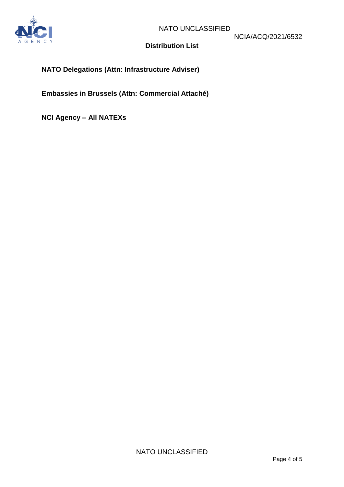

## **Distribution List**

## **NATO Delegations (Attn: Infrastructure Adviser)**

**Embassies in Brussels (Attn: Commercial Attaché)**

**NCI Agency – All NATEXs**